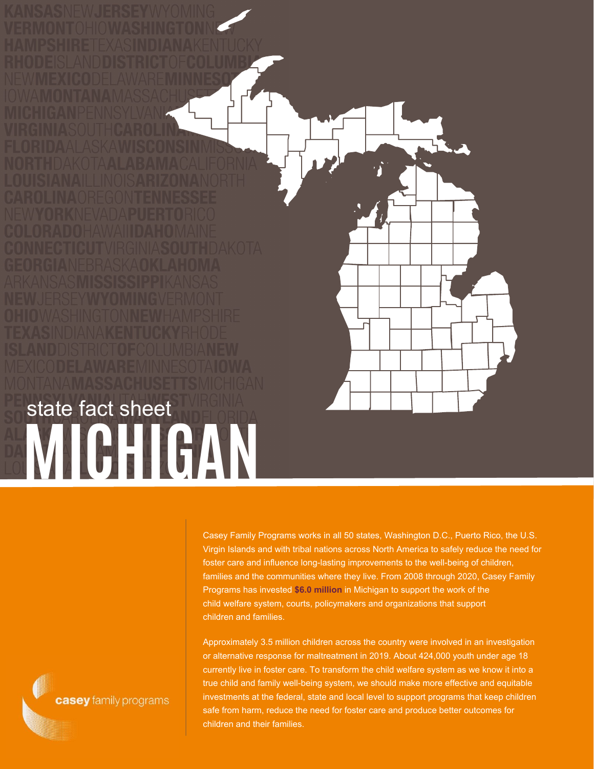

Casey Family Programs works in all 50 states, Washington D.C., Puerto Rico, the U.S. Virgin Islands and with tribal nations across North America to safely reduce the need for foster care and influence long-lasting improvements to the well-being of children, families and the communities where they live. From 2008 through 2020, Casey Family Programs has invested **\$6.0 million** in Michigan to support the work of the child welfare system, courts, policymakers and organizations that support children and families.

Approximately 3.5 million children across the country were involved in an investigation or alternative response for maltreatment in 2019. About 424,000 youth under age 18 currently live in foster care. To transform the child welfare system as we know it into a true child and family well-being system, we should make more effective and equitable investments at the federal, state and local level to support programs that keep children safe from harm, reduce the need for foster care and produce better outcomes for children and their families.

casey family programs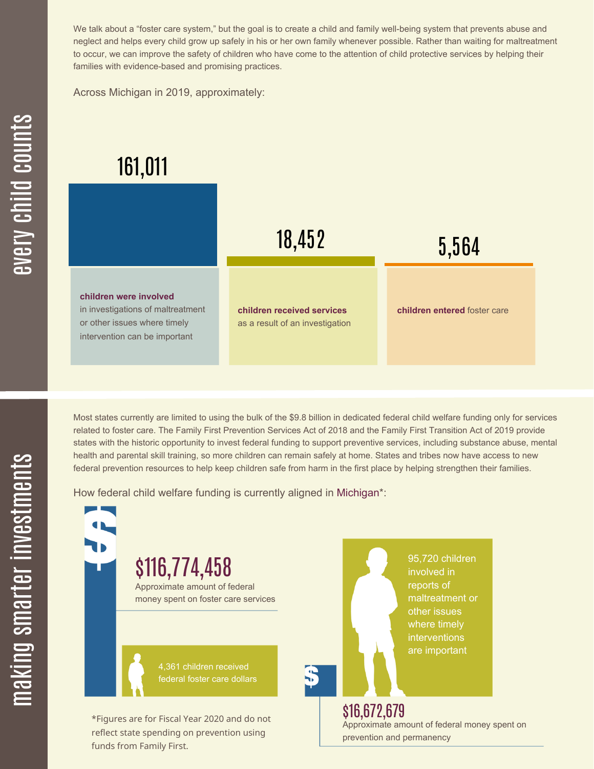We talk about a "foster care system," but the goal is to create a child and family well-being system that prevents abuse and neglect and helps every child grow up safely in his or her own family whenever possible. Rather than waiting for maltreatment to occur, we can improve the safety of children who have come to the attention of child protective services by helping their families with evidence-based and promising practices.

Across Michigan in 2019, approximately:

## 161,011



Most states currently are limited to using the bulk of the \$9.8 billion in dedicated federal child welfare funding only for services related to foster care. The Family First Prevention Services Act of 2018 and the Family First Transition Act of 2019 provide states with the historic opportunity to invest federal funding to support preventive services, including substance abuse, mental health and parental skill training, so more children can remain safely at home. States and tribes now have access to new federal prevention resources to help keep children safe from harm in the first place by helping strengthen their families.

How federal child welfare funding is currently aligned in Michigan\*:

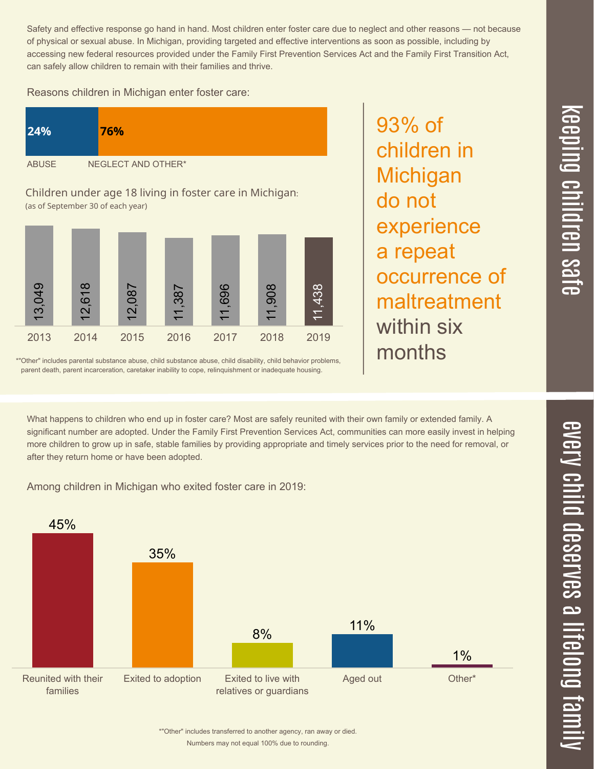Safety and effective response go hand in hand. Most children enter foster care due to neglect and other reasons — not because of physical or sexual abuse. In Michigan, providing targeted and effective interventions as soon as possible, including by accessing new federal resources provided under the Family First Prevention Services Act and the Family First Transition Act, can safely allow children to remain with their families and thrive.

Reasons children in Michigan enter foster care:

| 24%          | 76%                |
|--------------|--------------------|
| <b>ABUSE</b> | NEGLECT AND OTHER* |

Children under age 18 living in foster care in Michigan: (as of September 30 of each year)



\*"Other" includes parental substance abuse, child substance abuse, child disability, child behavior problems, parent death, parent incarceration, caretaker inability to cope, relinquishment or inadequate housing.

93% of children in **Michigan** do not experience a repeat occurrence of maltreatment within six months

 $\overline{\mathbf \Theta}$  $\overline{\mathbf{C}}$ <u>pin</u>  $\overline{\mathbf{C}}$  $\overline{\mathbf{C}}$  $\equiv$  $\overline{\mathbf{c}}$  $\overline{\phantom{0}}$  $\boldsymbol{\mathcal{O}}$ a  $\overrightarrow{\mathbf{e}}$ 

 $\overline{\phantom{1}}$ 

What happens to children who end up in foster care? Most are safely reunited with their own family or extended family. A significant number are adopted. Under the Family First Prevention Services Act, communities can more easily invest in helping more children to grow up in safe, stable families by providing appropriate and timely services prior to the need for removal, or after they return home or have been adopted.

Among children in Michigan who exited foster care in 2019: